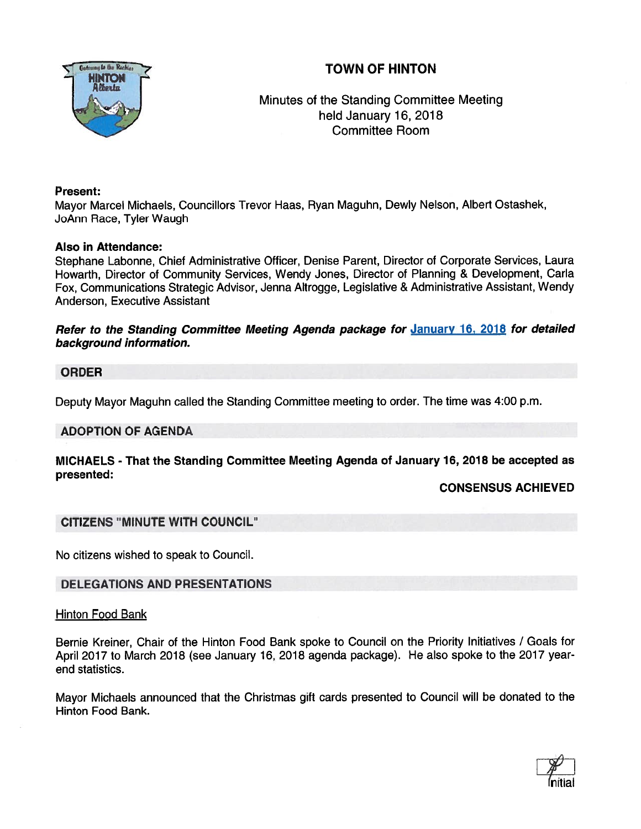# TOWN OF HINTON



Minutes of the Standing Committee Meeting held January 16, 2018 Committee Room

## Present:

Mayor Marcel Michaels, Councillors Trevor Haas, Ryan Maguhn, Dewly Nelson, Albert Ostashek, JoAnn Race, Tyler Waugh

## Also in Attendance:

Stephane Labonne, Chief Administrative Officer, Denise Parent, Director of Corporate Services, Laura Howarth, Director of Community Services, Wendy Jones, Director of Planning & Development, Carla Fox, Communications Strategic Advisor, Jenna Altrogge, Legislative & Administrative Assistant, Wendy Anderson, Executive Assistant

Refer to the Standing Committee Meeting Agenda package for January 16, 2018 for detailed background information.

# ORDER

Deputy Mayor Maguhn called the Standing Committee meeting to order. The time was 4:00 p.m.

# ADOPTION OF AGENDA

# MICHAELS - That the Standing Committee Meeting Agenda of January 16, 2018 be accepted as presented:

# CONSENSUS ACHIEVED

# CITIZENS "MINUTE WITH COUNCIL"

No citizens wished to speak to Council.

# DELEGATIONS AND PRESENTATIONS

#### Hinton Food Bank

Bernie Kreiner, Chair of the Hinton Food Bank spoke to Council on the Priority Initiatives / Goals for April <sup>2017</sup> to March <sup>2018</sup> (see January 16, <sup>2018</sup> agenda package). He also spoke to the <sup>2017</sup> year end statistics.

Mayor Michaels announced that the Christmas <sup>g</sup>ift cards presented to Council will be donated to the Hinton Food Bank.

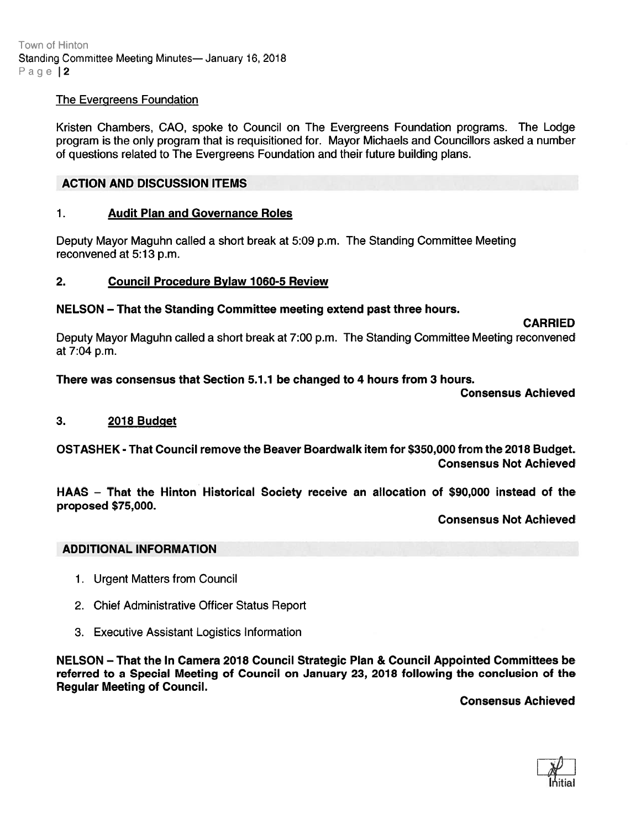Town of Hinton Standing Committee Meeting Minutes— January 16, 2018 Page | 2

## The Evergreens Foundation

Kristen Chambers, CAO, spoke to Council on The Evergreens Foundation programs. The Lodge program is the only program that is requisitioned for. Mayor Michaels and Councillors asked <sup>a</sup> number of questions related to The Evergreens Foundation and their future building plans.

## ACTION AND DISCUSSION ITEMS

#### 1. Audit Plan and Governance Roles

Deputy Mayor Maguhn called <sup>a</sup> short break at 5:09 p.m. The Standing Committee Meeting reconvened at 5:13 p.m.

#### 2. Council Procedure Bylaw 1060-5 Review

## NELSON — That the Standing Committee meeting extend pas<sup>t</sup> three hours.

#### CARRIED

Deputy Mayor Maguhn called <sup>a</sup> short break at 7:00 p.m. The Standing Committee Meeting reconvened at 7:04 p.m.

# There was consensus that Section 5.1.1 be changed to 4 hours from 3 hours.

Consensus Achieved

#### 3. 2018 Budget

OSTASHEK -That Council remove the Beaver Boardwalk item for \$350,000 from the 2018 Budget. Consensus Not Achieved

HAAS — That the Hinton Historical Society receive an allocation of \$90,000 instead of the proposed \$75,000.

Consensus Not Achieved

# ADDITIONAL INFORMATION

- 1. Urgent Matters from Council
- 2. Chief Administrative Officer Status Report
- 3. Executive Assistant Logistics Information

NELSON — That the In Camera 2018 Council Strategic Plan & Council Appointed Committees be referred to <sup>a</sup> Special Meeting of Council on January 23, 2018 following the conclusion of the Regular Meeting of Council.

Consensus Achieved

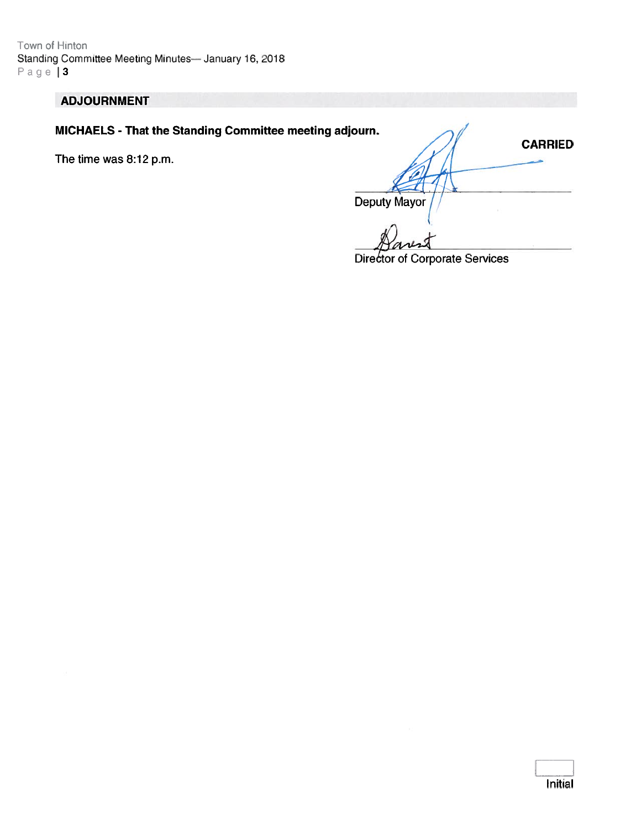Town of Hinton Standing Committee Meeting Minutes- January 16, 2018  $Page 13$ 

# **ADJOURNMENT**

MICHAELS - That the Standing Committee meeting adjourn.

The time was 8:12 p.m.

**CARRIED Deputy Mayor** 

**Director of Corporate Services**